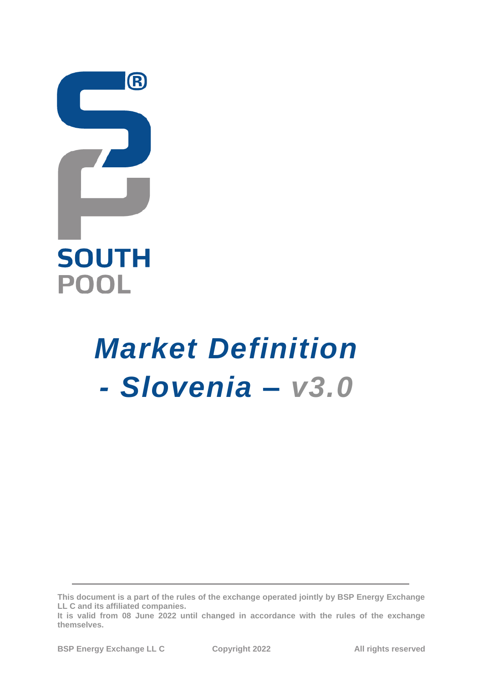

# *Market Definition - Slovenia – v3.0*

**This document is a part of the rules of the exchange operated jointly by BSP Energy Exchange LL C and its affiliated companies.**

**It is valid from 08 June 2022 until changed in accordance with the rules of the exchange themselves.**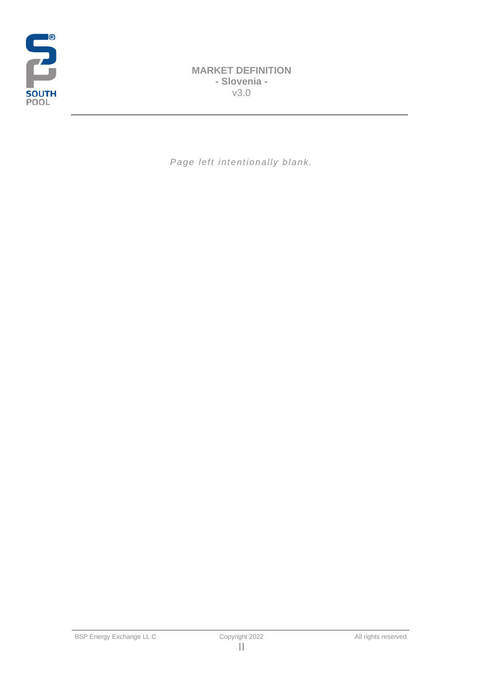

*Page left intentionally blank.*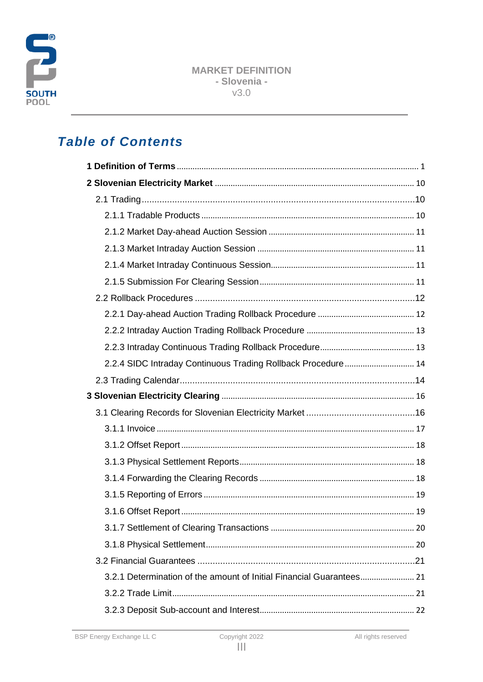

# **Table of Contents**

| 2.2.4 SIDC Intraday Continuous Trading Rollback Procedure 14 |  |
|--------------------------------------------------------------|--|
|                                                              |  |
|                                                              |  |
|                                                              |  |
|                                                              |  |
|                                                              |  |
|                                                              |  |
|                                                              |  |
|                                                              |  |
|                                                              |  |
|                                                              |  |
|                                                              |  |
|                                                              |  |
|                                                              |  |
|                                                              |  |
|                                                              |  |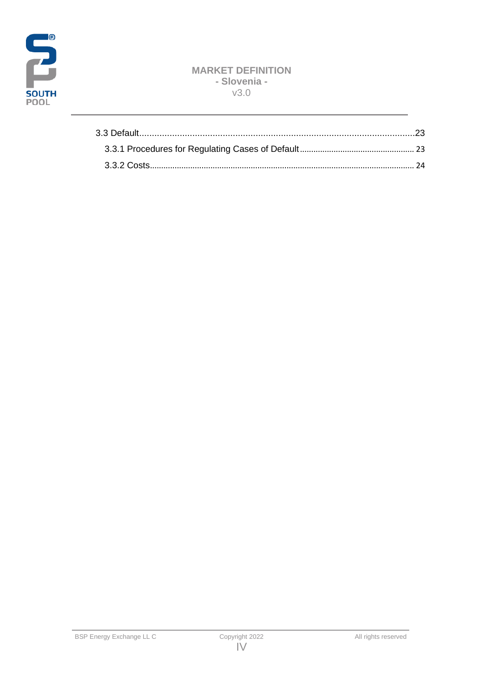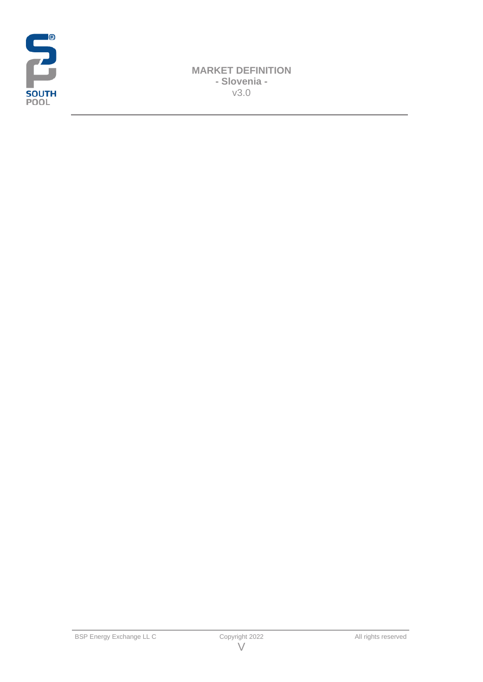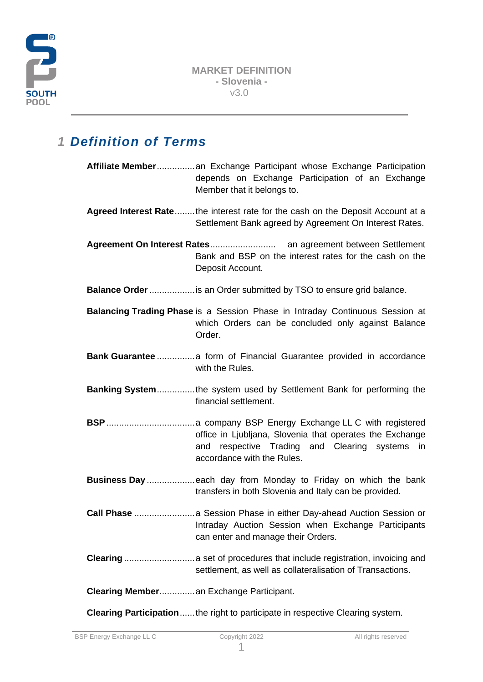

# <span id="page-5-0"></span>*1 Definition of Terms*

| Affiliate Memberan Exchange Participant whose Exchange Participation<br>depends on Exchange Participation of an Exchange<br>Member that it belongs to.          |
|-----------------------------------------------------------------------------------------------------------------------------------------------------------------|
| Agreed Interest Ratethe interest rate for the cash on the Deposit Account at a<br>Settlement Bank agreed by Agreement On Interest Rates.                        |
| Bank and BSP on the interest rates for the cash on the<br>Deposit Account.                                                                                      |
| Balance Order is an Order submitted by TSO to ensure grid balance.                                                                                              |
| Balancing Trading Phase is a Session Phase in Intraday Continuous Session at<br>which Orders can be concluded only against Balance<br>Order.                    |
| Bank Guarantee a form of Financial Guarantee provided in accordance<br>with the Rules.                                                                          |
| Banking Systemthe system used by Settlement Bank for performing the<br>financial settlement.                                                                    |
| office in Ljubljana, Slovenia that operates the Exchange<br>and respective Trading and Clearing systems in<br>accordance with the Rules.                        |
| <b>Business Day</b> each day from Monday to Friday on which the bank<br>transfers in both Slovenia and Italy can be provided.                                   |
| Call Phase  a Session Phase in either Day-ahead Auction Session or<br>Intraday Auction Session when Exchange Participants<br>can enter and manage their Orders. |
| settlement, as well as collateralisation of Transactions.                                                                                                       |

**Clearing Member**..............an Exchange Participant.

**Clearing Participation**......the right to participate in respective Clearing system.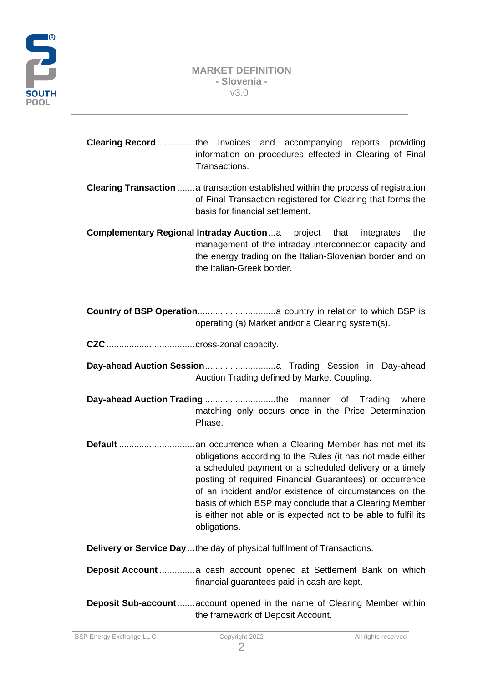

- **Clearing Record**...............the Invoices and accompanying reports providing information on procedures effected in Clearing of Final Transactions.
- **Clearing Transaction** .......a transaction established within the process of registration of Final Transaction registered for Clearing that forms the basis for financial settlement.
- **Complementary Regional Intraday Auction**...a project that integrates the management of the intraday interconnector capacity and the energy trading on the Italian-Slovenian border and on the Italian-Greek border.
- **Country of BSP Operation**...............................a country in relation to which BSP is operating (a) Market and/or a Clearing system(s).
- **CZC**...................................cross-zonal capacity.
- **Day-ahead Auction Session**............................a Trading Session in Day-ahead Auction Trading defined by Market Coupling.
- **Day-ahead Auction Trading** ............................the manner of Trading where matching only occurs once in the Price Determination Phase.
- **Default** ..............................an occurrence when a Clearing Member has not met its obligations according to the Rules (it has not made either a scheduled payment or a scheduled delivery or a timely posting of required Financial Guarantees) or occurrence of an incident and/or existence of circumstances on the basis of which BSP may conclude that a Clearing Member is either not able or is expected not to be able to fulfil its obligations.
- **Delivery or Service Day**...the day of physical fulfilment of Transactions.
- **Deposit Account** ..............a cash account opened at Settlement Bank on which financial guarantees paid in cash are kept.
- **Deposit Sub-account**.......account opened in the name of Clearing Member within the framework of Deposit Account.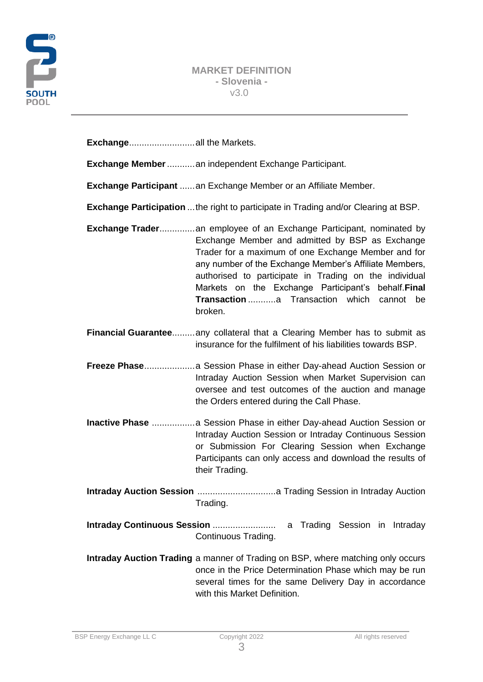

| <b>Exchangeall the Markets.</b>                                             |                                                                                                                                                                                                                                                                                                                                                                                                                        |
|-----------------------------------------------------------------------------|------------------------------------------------------------------------------------------------------------------------------------------------------------------------------------------------------------------------------------------------------------------------------------------------------------------------------------------------------------------------------------------------------------------------|
|                                                                             | Exchange Member  an independent Exchange Participant.                                                                                                                                                                                                                                                                                                                                                                  |
|                                                                             | <b>Exchange Participant</b> an Exchange Member or an Affiliate Member.                                                                                                                                                                                                                                                                                                                                                 |
|                                                                             | <b>Exchange Participation</b> the right to participate in Trading and/or Clearing at BSP.                                                                                                                                                                                                                                                                                                                              |
|                                                                             | <b>Exchange Traderan employee of an Exchange Participant, nominated by</b><br>Exchange Member and admitted by BSP as Exchange<br>Trader for a maximum of one Exchange Member and for<br>any number of the Exchange Member's Affiliate Members,<br>authorised to participate in Trading on the individual<br>Markets on the Exchange Participant's behalf.Final<br>Transaction a Transaction which cannot be<br>broken. |
|                                                                             | Financial Guaranteeany collateral that a Clearing Member has to submit as<br>insurance for the fulfilment of his liabilities towards BSP.                                                                                                                                                                                                                                                                              |
|                                                                             | Freeze Phase a Session Phase in either Day-ahead Auction Session or<br>Intraday Auction Session when Market Supervision can<br>oversee and test outcomes of the auction and manage<br>the Orders entered during the Call Phase.                                                                                                                                                                                        |
|                                                                             | Inactive Phase  a Session Phase in either Day-ahead Auction Session or<br>Intraday Auction Session or Intraday Continuous Session<br>or Submission For Clearing Session when Exchange<br>Participants can only access and download the results of<br>their Trading.                                                                                                                                                    |
| Intraday Auction Session  a Trading Session in Intraday Auction<br>Trading. |                                                                                                                                                                                                                                                                                                                                                                                                                        |
|                                                                             | Continuous Trading.                                                                                                                                                                                                                                                                                                                                                                                                    |

**Intraday Auction Trading** a manner of Trading on BSP, where matching only occurs once in the Price Determination Phase which may be run several times for the same Delivery Day in accordance with this Market Definition.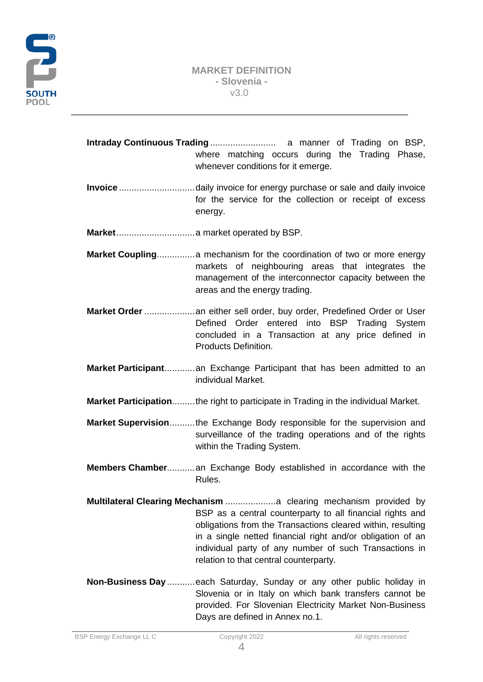

**Intraday Continuous Trading** .......................... a manner of Trading on BSP, where matching occurs during the Trading Phase, whenever conditions for it emerge.

- **Invoice** ..............................daily invoice for energy purchase or sale and daily invoice for the service for the collection or receipt of excess energy.
- **Market**...............................a market operated by BSP.
- **Market Coupling**...............a mechanism for the coordination of two or more energy markets of neighbouring areas that integrates the management of the interconnector capacity between the areas and the energy trading.
- **Market Order** ....................an either sell order, buy order, Predefined Order or User Defined Order entered into BSP Trading System concluded in a Transaction at any price defined in Products Definition.
- **Market Participant**............an Exchange Participant that has been admitted to an individual Market.
- **Market Participation**.........the right to participate in Trading in the individual Market.
- **Market Supervision**..........the Exchange Body responsible for the supervision and surveillance of the trading operations and of the rights within the Trading System.
- **Members Chamber**...........an Exchange Body established in accordance with the Rules.
- **Multilateral Clearing Mechanism** ....................a clearing mechanism provided by BSP as a central counterparty to all financial rights and obligations from the Transactions cleared within, resulting in a single netted financial right and/or obligation of an individual party of any number of such Transactions in relation to that central counterparty.
- **Non-Business Day** ...........each Saturday, Sunday or any other public holiday in Slovenia or in Italy on which bank transfers cannot be provided. For Slovenian Electricity Market Non-Business Days are defined in Annex no.1.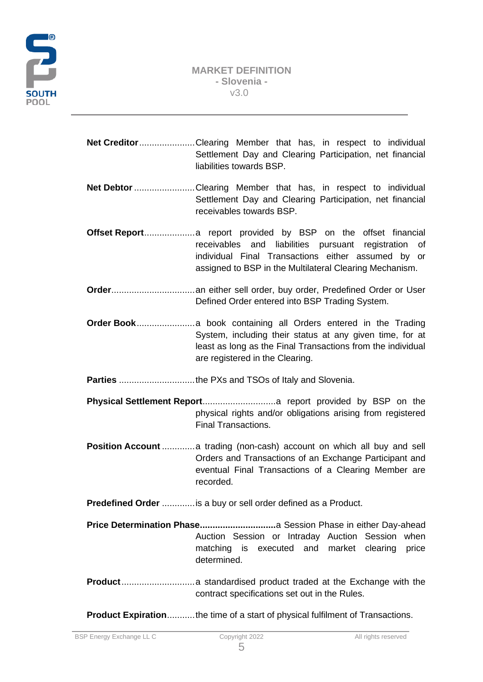

- **Net Creditor**......................Clearing Member that has, in respect to individual Settlement Day and Clearing Participation, net financial liabilities towards BSP.
- **Net Debtor**.........................Clearing Member that has, in respect to individual Settlement Day and Clearing Participation, net financial receivables towards BSP.
- **Offset Report**....................a report provided by BSP on the offset financial receivables and liabilities pursuant registration of individual Final Transactions either assumed by or assigned to BSP in the Multilateral Clearing Mechanism.
- **Order**.................................an either sell order, buy order, Predefined Order or User Defined Order entered into BSP Trading System.
- **Order Book...........................** book containing all Orders entered in the Trading System, including their status at any given time, for at least as long as the Final Transactions from the individual are registered in the Clearing.
- **Parties** ..................................the PXs and TSOs of Italy and Slovenia.
- **Physical Settlement Report**.............................a report provided by BSP on the physical rights and/or obligations arising from registered Final Transactions.
- **Position Account** .............a trading (non-cash) account on which all buy and sell Orders and Transactions of an Exchange Participant and eventual Final Transactions of a Clearing Member are recorded.
- **Predefined Order** .............is a buy or sell order defined as a Product.
- **Price Determination Phase..............................**a Session Phase in either Day-ahead Auction Session or Intraday Auction Session when matching is executed and market clearing price determined.
- **Product**.............................a standardised product traded at the Exchange with the contract specifications set out in the Rules.
- **Product Expiration**...........the time of a start of physical fulfilment of Transactions.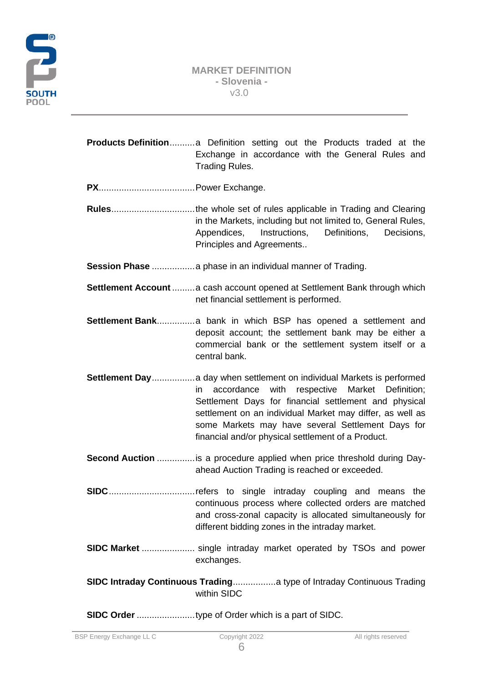

- **Products Definition**..........a Definition setting out the Products traded at the Exchange in accordance with the General Rules and Trading Rules.
- **PX**......................................Power Exchange.
- **Rules**.................................the whole set of rules applicable in Trading and Clearing in the Markets, including but not limited to, General Rules, Appendices, Instructions, Definitions, Decisions, Principles and Agreements..
- **Session Phase** .................a phase in an individual manner of Trading.
- **Settlement Account** .........a cash account opened at Settlement Bank through which net financial settlement is performed.
- **Settlement Bank**...............a bank in which BSP has opened a settlement and deposit account; the settlement bank may be either a commercial bank or the settlement system itself or a central bank.
- **Settlement Day..................** day when settlement on individual Markets is performed in accordance with respective Market Definition; Settlement Days for financial settlement and physical settlement on an individual Market may differ, as well as some Markets may have several Settlement Days for financial and/or physical settlement of a Product.
- **Second Auction** ...............is a procedure applied when price threshold during Dayahead Auction Trading is reached or exceeded.
- **SIDC**..................................refers to single intraday coupling and means the continuous process where collected orders are matched and cross-zonal capacity is allocated simultaneously for different bidding zones in the intraday market.
- **SIDC Market** ..................... single intraday market operated by TSOs and power exchanges.
- **SIDC Intraday Continuous Trading**.................a type of Intraday Continuous Trading within SIDC
- **SIDC Order** .......................type of Order which is a part of SIDC.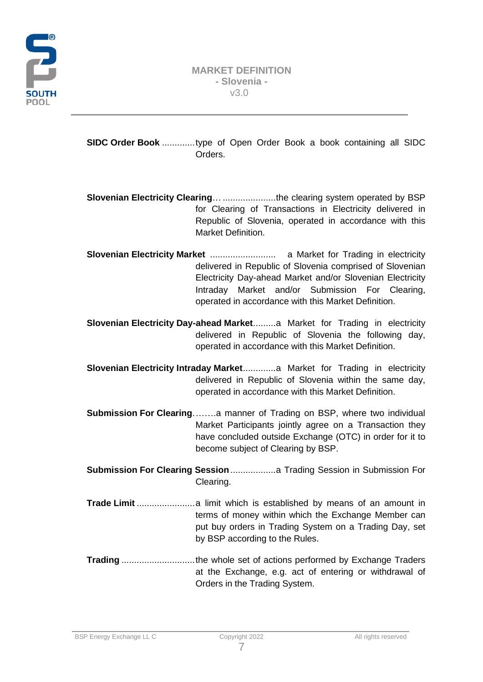

**SIDC Order Book** .............type of Open Order Book a book containing all SIDC Orders.

**Slovenian Electricity Clearing**….....................the clearing system operated by BSP for Clearing of Transactions in Electricity delivered in Republic of Slovenia, operated in accordance with this Market Definition.

**Slovenian Electricity Market** .......................... a Market for Trading in electricity delivered in Republic of Slovenia comprised of Slovenian Electricity Day-ahead Market and/or Slovenian Electricity Intraday Market and/or Submission For Clearing, operated in accordance with this Market Definition.

**Slovenian Electricity Day-ahead Market**.........a Market for Trading in electricity delivered in Republic of Slovenia the following day, operated in accordance with this Market Definition.

**Slovenian Electricity Intraday Market**.............a Market for Trading in electricity delivered in Republic of Slovenia within the same day, operated in accordance with this Market Definition.

**Submission For Clearing**.…….a manner of Trading on BSP, where two individual Market Participants jointly agree on a Transaction they have concluded outside Exchange (OTC) in order for it to become subject of Clearing by BSP.

**Submission For Clearing Session**..................a Trading Session in Submission For Clearing.

**Trade Limit** .......................a limit which is established by means of an amount in terms of money within which the Exchange Member can put buy orders in Trading System on a Trading Day, set by BSP according to the Rules.

**Trading** .............................the whole set of actions performed by Exchange Traders at the Exchange, e.g. act of entering or withdrawal of Orders in the Trading System.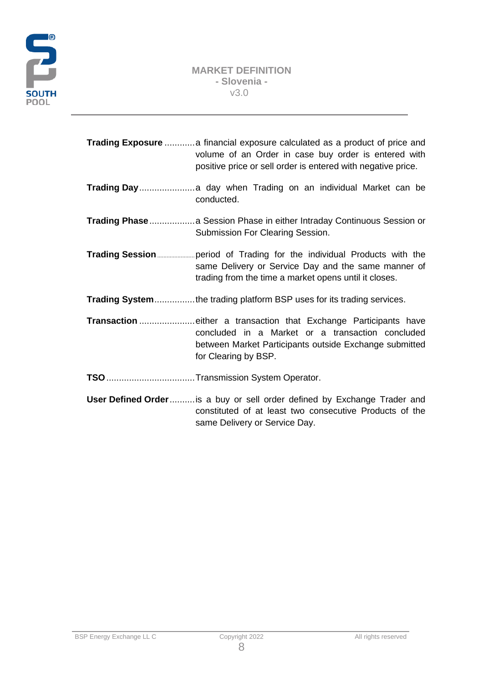

- **Trading Exposure** ............a financial exposure calculated as a product of price and volume of an Order in case buy order is entered with positive price or sell order is entered with negative price.
- **Trading Day**......................a day when Trading on an individual Market can be conducted.
- **Trading Phase**..................a Session Phase in either Intraday Continuous Session or Submission For Clearing Session.
- **Trading Session**........................period of [Trading](http://www.investorwords.com/5030/trading.html) for the individual Products with the same Delivery or Service Day and the same manner of trading from the time a [market](http://www.investorwords.com/2962/market.html) [opens](http://www.investorwords.com/3432/open.html) until it [closes.](http://www.investorwords.com/887/close.html)
- **Trading System**................the trading platform BSP uses for its trading services.
- **Transaction** ......................either a transaction that Exchange Participants have concluded in a Market or a transaction concluded between Market Participants outside Exchange submitted for Clearing by BSP.
- **TSO**...................................Transmission System Operator.
- **User Defined Order**..........is a buy or sell order defined by Exchange Trader and constituted of at least two consecutive Products of the same Delivery or Service Day.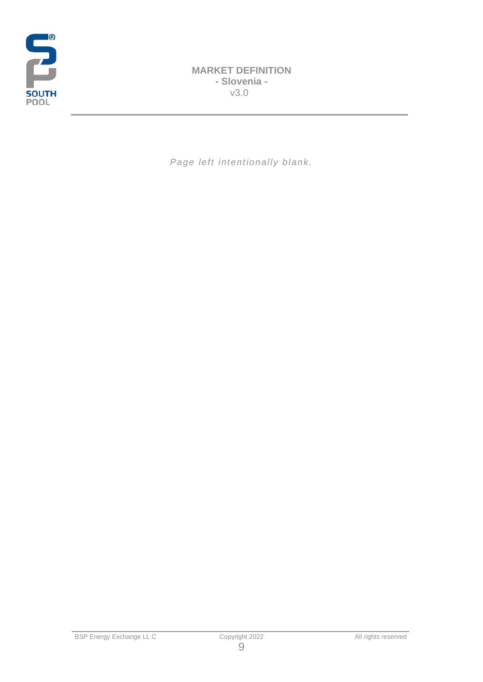

*Page left intentionally blank.*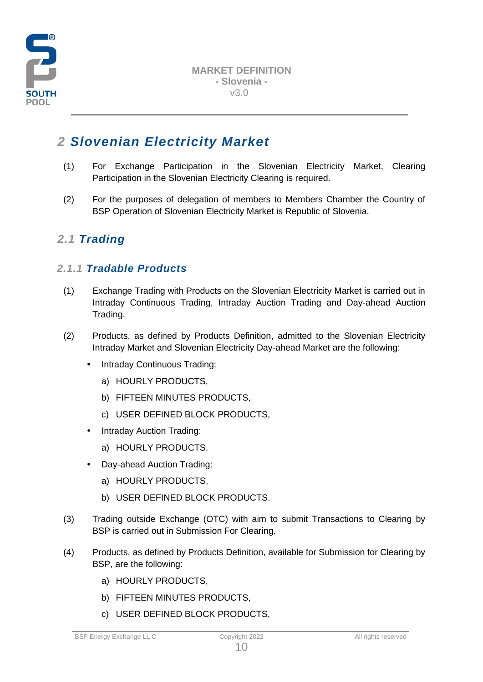

# <span id="page-14-0"></span>*2 Slovenian Electricity Market*

- (1) For Exchange Participation in the Slovenian Electricity Market, Clearing Participation in the Slovenian Electricity Clearing is required.
- (2) For the purposes of delegation of members to Members Chamber the Country of BSP Operation of Slovenian Electricity Market is Republic of Slovenia.

# <span id="page-14-1"></span>*2.1 Trading*

# <span id="page-14-2"></span>*2.1.1 Tradable Products*

- (1) Exchange Trading with Products on the Slovenian Electricity Market is carried out in Intraday Continuous Trading, Intraday Auction Trading and Day-ahead Auction Trading.
- (2) Products, as defined by Products Definition, admitted to the Slovenian Electricity Intraday Market and Slovenian Electricity Day-ahead Market are the following:
	- Intraday Continuous Trading:
		- a) HOURLY PRODUCTS,
		- b) FIFTEEN MINUTES PRODUCTS,
		- c) USER DEFINED BLOCK PRODUCTS,
	- Intraday Auction Trading:
		- a) HOURLY PRODUCTS.
	- Day-ahead Auction Trading:
		- a) HOURLY PRODUCTS,
		- b) USER DEFINED BLOCK PRODUCTS.
- (3) Trading outside Exchange (OTC) with aim to submit Transactions to Clearing by BSP is carried out in Submission For Clearing.
- (4) Products, as defined by Products Definition, available for Submission for Clearing by BSP, are the following:
	- a) HOURLY PRODUCTS,
	- b) FIFTEEN MINUTES PRODUCTS,
	- c) USER DEFINED BLOCK PRODUCTS,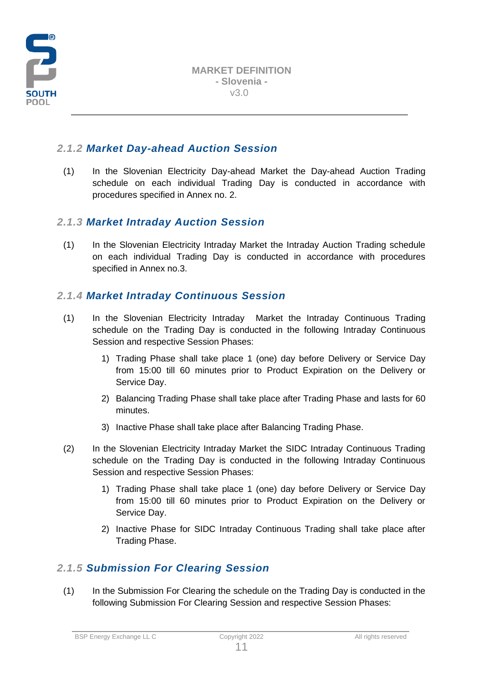

# <span id="page-15-0"></span>*2.1.2 Market Day-ahead Auction Session*

<span id="page-15-4"></span>(1) In the Slovenian Electricity Day-ahead Market the Day-ahead Auction Trading schedule on each individual Trading Day is conducted in accordance with procedures specified in Annex no. 2.

# <span id="page-15-1"></span>*2.1.3 Market Intraday Auction Session*

<span id="page-15-5"></span>(1) In the Slovenian Electricity Intraday Market the Intraday Auction Trading schedule on each individual Trading Day is conducted in accordance with procedures specified in Annex no.3.

# <span id="page-15-2"></span>*2.1.4 Market Intraday Continuous Session*

- <span id="page-15-6"></span>(1) In the Slovenian Electricity Intraday Market the Intraday Continuous Trading schedule on the Trading Day is conducted in the following Intraday Continuous Session and respective Session Phases:
	- 1) Trading Phase shall take place 1 (one) day before Delivery or Service Day from 15:00 till 60 minutes prior to Product Expiration on the Delivery or Service Day.
	- 2) Balancing Trading Phase shall take place after Trading Phase and lasts for 60 minutes.
	- 3) Inactive Phase shall take place after Balancing Trading Phase.
- (2) In the Slovenian Electricity Intraday Market the SIDC Intraday Continuous Trading schedule on the Trading Day is conducted in the following Intraday Continuous Session and respective Session Phases:
	- 1) Trading Phase shall take place 1 (one) day before Delivery or Service Day from 15:00 till 60 minutes prior to Product Expiration on the Delivery or Service Day.
	- 2) Inactive Phase for SIDC Intraday Continuous Trading shall take place after Trading Phase.

# <span id="page-15-3"></span>*2.1.5 Submission For Clearing Session*

(1) In the Submission For Clearing the schedule on the Trading Day is conducted in the following Submission For Clearing Session and respective Session Phases: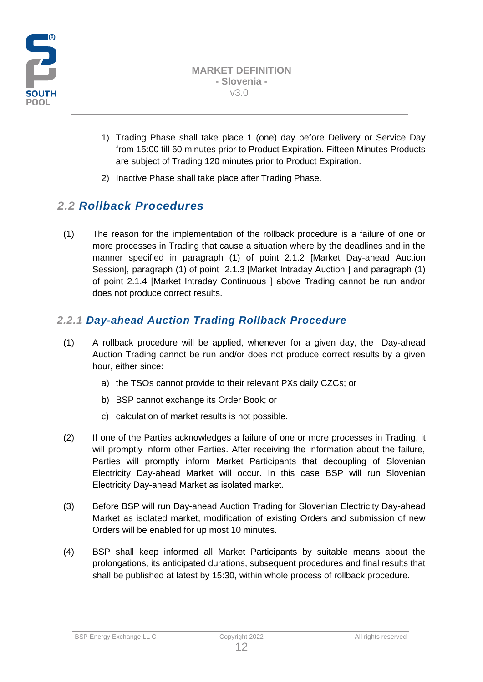

- 1) Trading Phase shall take place 1 (one) day before Delivery or Service Day from 15:00 till 60 minutes prior to Product Expiration. Fifteen Minutes Products are subject of Trading 120 minutes prior to Product Expiration.
- 2) Inactive Phase shall take place after Trading Phase.

# <span id="page-16-0"></span>*2.2 Rollback Procedures*

(1) The reason for the implementation of the rollback procedure is a failure of one or more processes in Trading that cause a situation where by the deadlines and in the manner specified in paragraph [\(1\)](#page-15-4) of point [2.1.2](#page-15-0) [\[Market Day-ahead Auction](#page-15-0)  [Session\]](#page-15-0), paragraph [\(1\)](#page-15-5) of point [2.1.3](#page-15-1) [\[Market Intraday Auction \]](#page-15-1) and paragraph [\(1\)](#page-15-6) of point [2.1.4](#page-15-2) [\[Market Intraday Continuous \]](#page-15-2) above Trading cannot be run and/or does not produce correct results.

# <span id="page-16-1"></span>*2.2.1 Day-ahead Auction Trading Rollback Procedure*

- (1) A rollback procedure will be applied, whenever for a given day, the Day-ahead Auction Trading cannot be run and/or does not produce correct results by a given hour, either since:
	- a) the TSOs cannot provide to their relevant PXs daily CZCs; or
	- b) BSP cannot exchange its Order Book; or
	- c) calculation of market results is not possible.
- (2) If one of the Parties acknowledges a failure of one or more processes in Trading, it will promptly inform other Parties. After receiving the information about the failure, Parties will promptly inform Market Participants that decoupling of Slovenian Electricity Day-ahead Market will occur. In this case BSP will run Slovenian Electricity Day-ahead Market as isolated market.
- (3) Before BSP will run Day-ahead Auction Trading for Slovenian Electricity Day-ahead Market as isolated market, modification of existing Orders and submission of new Orders will be enabled for up most 10 minutes.
- (4) BSP shall keep informed all Market Participants by suitable means about the prolongations, its anticipated durations, subsequent procedures and final results that shall be published at latest by 15:30, within whole process of rollback procedure.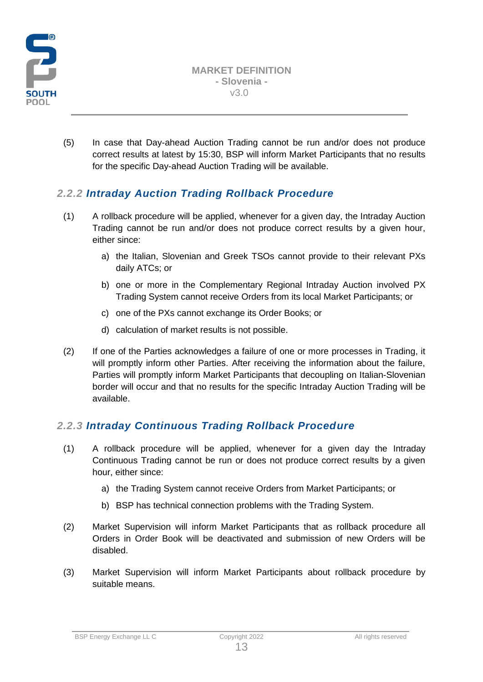

(5) In case that Day-ahead Auction Trading cannot be run and/or does not produce correct results at latest by 15:30, BSP will inform Market Participants that no results for the specific Day-ahead Auction Trading will be available.

# <span id="page-17-0"></span>*2.2.2 Intraday Auction Trading Rollback Procedure*

- (1) A rollback procedure will be applied, whenever for a given day, the Intraday Auction Trading cannot be run and/or does not produce correct results by a given hour, either since:
	- a) the Italian, Slovenian and Greek TSOs cannot provide to their relevant PXs daily ATCs; or
	- b) one or more in the Complementary Regional Intraday Auction involved PX Trading System cannot receive Orders from its local Market Participants; or
	- c) one of the PXs cannot exchange its Order Books; or
	- d) calculation of market results is not possible.
- (2) If one of the Parties acknowledges a failure of one or more processes in Trading, it will promptly inform other Parties. After receiving the information about the failure, Parties will promptly inform Market Participants that decoupling on Italian-Slovenian border will occur and that no results for the specific Intraday Auction Trading will be available.

# <span id="page-17-1"></span>*2.2.3 Intraday Continuous Trading Rollback Procedure*

- (1) A rollback procedure will be applied, whenever for a given day the Intraday Continuous Trading cannot be run or does not produce correct results by a given hour, either since:
	- a) the Trading System cannot receive Orders from Market Participants; or
	- b) BSP has technical connection problems with the Trading System.
- (2) Market Supervision will inform Market Participants that as rollback procedure all Orders in Order Book will be deactivated and submission of new Orders will be disabled.
- (3) Market Supervision will inform Market Participants about rollback procedure by suitable means.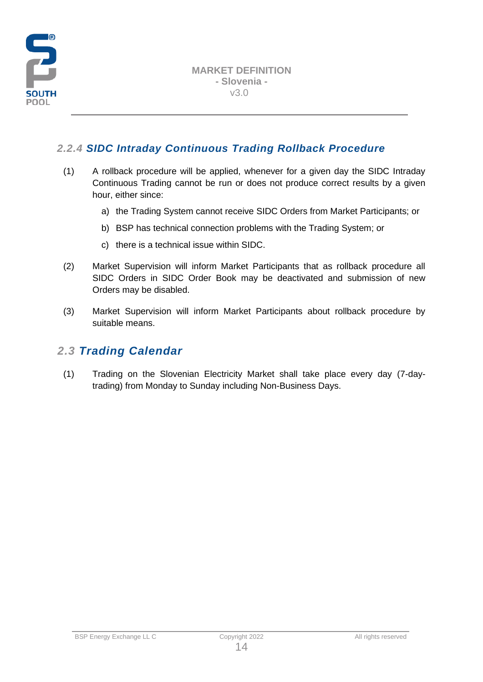

# <span id="page-18-0"></span>*2.2.4 SIDC Intraday Continuous Trading Rollback Procedure*

- (1) A rollback procedure will be applied, whenever for a given day the SIDC Intraday Continuous Trading cannot be run or does not produce correct results by a given hour, either since:
	- a) the Trading System cannot receive SIDC Orders from Market Participants; or
	- b) BSP has technical connection problems with the Trading System; or
	- c) there is a technical issue within SIDC.
- (2) Market Supervision will inform Market Participants that as rollback procedure all SIDC Orders in SIDC Order Book may be deactivated and submission of new Orders may be disabled.
- (3) Market Supervision will inform Market Participants about rollback procedure by suitable means.

# <span id="page-18-1"></span>*2.3 Trading Calendar*

(1) Trading on the Slovenian Electricity Market shall take place every day (7-daytrading) from Monday to Sunday including Non-Business Days.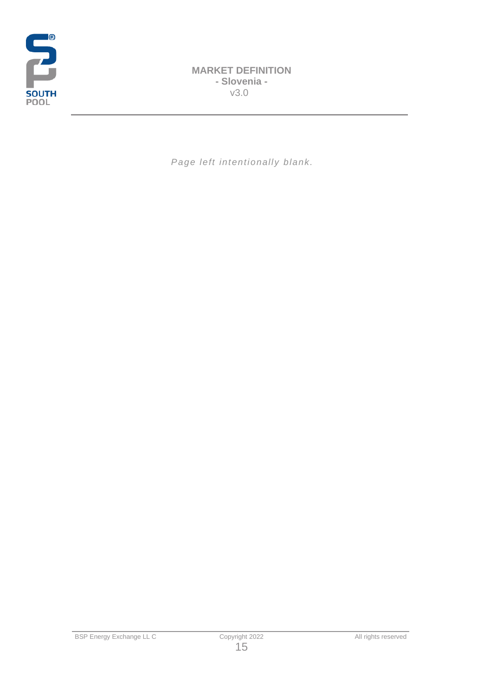

*Page left intentionally blank.*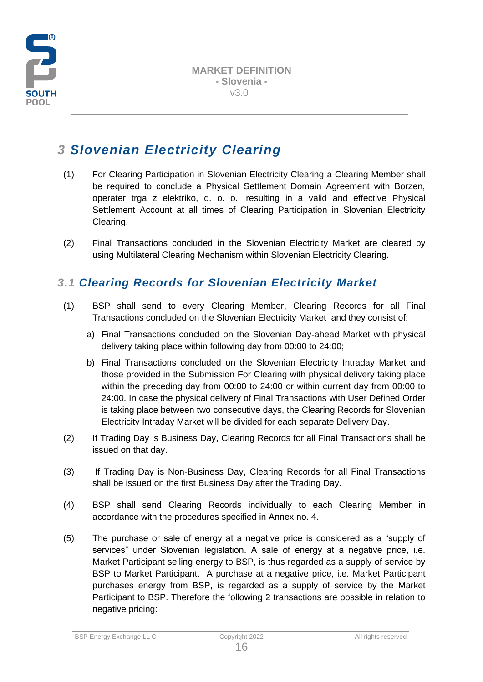

# <span id="page-20-0"></span>*3 Slovenian Electricity Clearing*

- (1) For Clearing Participation in Slovenian Electricity Clearing a Clearing Member shall be required to conclude a Physical Settlement Domain Agreement with Borzen, operater trga z elektriko, d. o. o., resulting in a valid and effective Physical Settlement Account at all times of Clearing Participation in Slovenian Electricity Clearing.
- (2) Final Transactions concluded in the Slovenian Electricity Market are cleared by using Multilateral Clearing Mechanism within Slovenian Electricity Clearing.

# <span id="page-20-1"></span>*3.1 Clearing Records for Slovenian Electricity Market*

- (1) BSP shall send to every Clearing Member, Clearing Records for all Final Transactions concluded on the Slovenian Electricity Market and they consist of:
	- a) Final Transactions concluded on the Slovenian Day-ahead Market with physical delivery taking place within following day from 00:00 to 24:00;
	- b) Final Transactions concluded on the Slovenian Electricity Intraday Market and those provided in the Submission For Clearing with physical delivery taking place within the preceding day from 00:00 to 24:00 or within current day from 00:00 to 24:00. In case the physical delivery of Final Transactions with User Defined Order is taking place between two consecutive days, the Clearing Records for Slovenian Electricity Intraday Market will be divided for each separate Delivery Day.
- (2) If Trading Day is Business Day, Clearing Records for all Final Transactions shall be issued on that day.
- (3) If Trading Day is Non-Business Day, Clearing Records for all Final Transactions shall be issued on the first Business Day after the Trading Day.
- (4) BSP shall send Clearing Records individually to each Clearing Member in accordance with the procedures specified in Annex no. 4.
- (5) The purchase or sale of energy at a negative price is considered as a "supply of services" under Slovenian legislation. A sale of energy at a negative price, i.e. Market Participant selling energy to BSP, is thus regarded as a supply of service by BSP to Market Participant. A purchase at a negative price, i.e. Market Participant purchases energy from BSP, is regarded as a supply of service by the Market Participant to BSP. Therefore the following 2 transactions are possible in relation to negative pricing: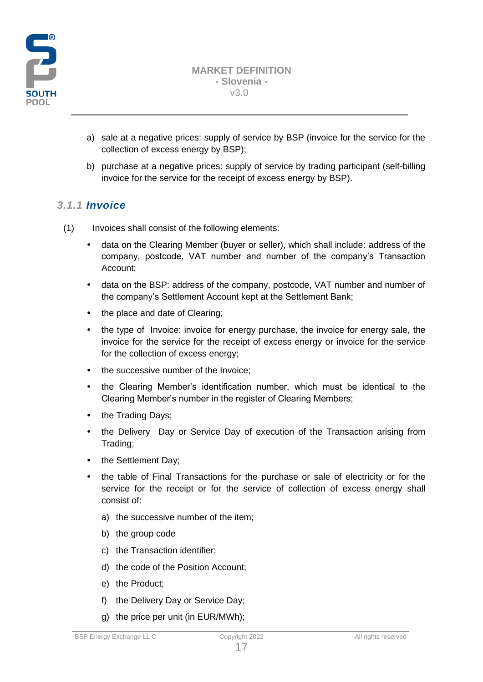

- a) sale at a negative prices: supply of service by BSP (invoice for the service for the collection of excess energy by BSP);
- b) purchase at a negative prices: supply of service by trading participant (self-billing invoice for the service for the receipt of excess energy by BSP).

# <span id="page-21-0"></span>*3.1.1 Invoice*

- (1) Invoices shall consist of the following elements:
	- data on the Clearing Member (buyer or seller), which shall include: address of the company, postcode, VAT number and number of the company's Transaction Account;
	- data on the BSP: address of the company, postcode, VAT number and number of the company's Settlement Account kept at the Settlement Bank;
	- the place and date of Clearing;
	- the type of Invoice: invoice for energy purchase, the invoice for energy sale, the invoice for the service for the receipt of excess energy or invoice for the service for the collection of excess energy;
	- the successive number of the Invoice:
	- the Clearing Member's identification number, which must be identical to the Clearing Member's number in the register of Clearing Members;
	- the Trading Days;
	- the Delivery Day or Service Day of execution of the Transaction arising from Trading;
	- the Settlement Day;
	- the table of Final Transactions for the purchase or sale of electricity or for the service for the receipt or for the service of collection of excess energy shall consist of:
		- a) the successive number of the item;
		- b) the group code
		- c) the Transaction identifier;
		- d) the code of the Position Account;
		- e) the Product;
		- f) the Delivery Day or Service Day;
		- g) the price per unit (in EUR/MWh);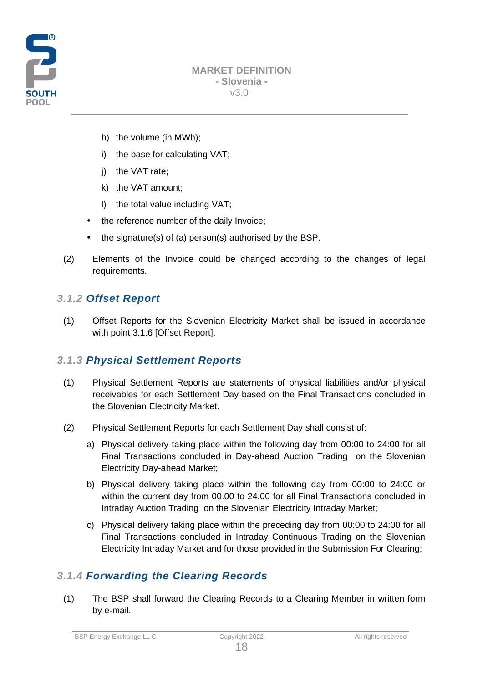

- h) the volume (in MWh);
- i) the base for calculating VAT;
- j) the VAT rate;
- k) the VAT amount;
- l) the total value including VAT;
- the reference number of the daily Invoice;
- the signature(s) of (a) person(s) authorised by the BSP.
- (2) Elements of the Invoice could be changed according to the changes of legal requirements.

#### <span id="page-22-0"></span>*3.1.2 Offset Report*

(1) Offset Reports for the Slovenian Electricity Market shall be issued in accordance with point [3.1.6](#page-23-1) [\[Offset Report\]](#page-23-1).

#### <span id="page-22-1"></span>*3.1.3 Physical Settlement Reports*

- (1) Physical Settlement Reports are statements of physical liabilities and/or physical receivables for each Settlement Day based on the Final Transactions concluded in the Slovenian Electricity Market.
- (2) Physical Settlement Reports for each Settlement Day shall consist of:
	- a) Physical delivery taking place within the following day from 00:00 to 24:00 for all Final Transactions concluded in Day-ahead Auction Trading on the Slovenian Electricity Day-ahead Market;
	- b) Physical delivery taking place within the following day from 00:00 to 24:00 or within the current day from 00.00 to 24.00 for all Final Transactions concluded in Intraday Auction Trading on the Slovenian Electricity Intraday Market;
	- c) Physical delivery taking place within the preceding day from 00:00 to 24:00 for all Final Transactions concluded in Intraday Continuous Trading on the Slovenian Electricity Intraday Market and for those provided in the Submission For Clearing;

# <span id="page-22-2"></span>*3.1.4 Forwarding the Clearing Records*

(1) The BSP shall forward the Clearing Records to a Clearing Member in written form by e-mail.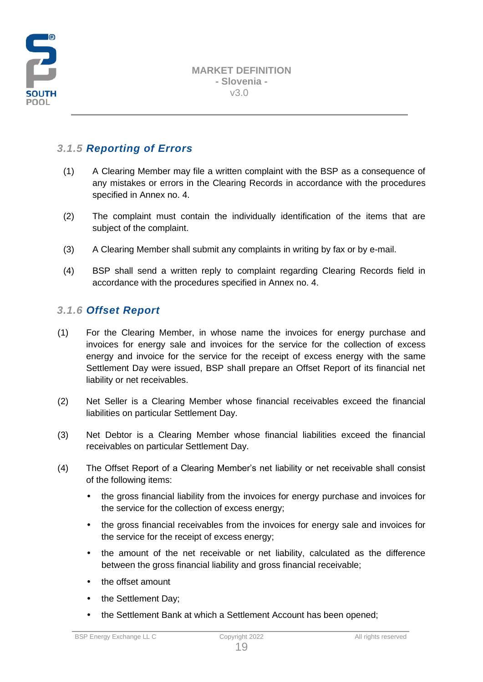

# <span id="page-23-0"></span>*3.1.5 Reporting of Errors*

- (1) A Clearing Member may file a written complaint with the BSP as a consequence of any mistakes or errors in the Clearing Records in accordance with the procedures specified in Annex no. 4.
- (2) The complaint must contain the individually identification of the items that are subject of the complaint.
- (3) A Clearing Member shall submit any complaints in writing by fax or by e-mail.
- (4) BSP shall send a written reply to complaint regarding Clearing Records field in accordance with the procedures specified in Annex no. 4.

#### <span id="page-23-1"></span>*3.1.6 Offset Report*

- (1) For the Clearing Member, in whose name the invoices for energy purchase and invoices for energy sale and invoices for the service for the collection of excess energy and invoice for the service for the receipt of excess energy with the same Settlement Day were issued, BSP shall prepare an Offset Report of its financial net liability or net receivables.
- (2) Net Seller is a Clearing Member whose financial receivables exceed the financial liabilities on particular Settlement Day.
- (3) Net Debtor is a Clearing Member whose financial liabilities exceed the financial receivables on particular Settlement Day.
- (4) The Offset Report of a Clearing Member's net liability or net receivable shall consist of the following items:
	- the gross financial liability from the invoices for energy purchase and invoices for the service for the collection of excess energy;
	- the gross financial receivables from the invoices for energy sale and invoices for the service for the receipt of excess energy;
	- the amount of the net receivable or net liability, calculated as the difference between the gross financial liability and gross financial receivable;
	- the offset amount
	- the Settlement Day;
	- the Settlement Bank at which a Settlement Account has been opened;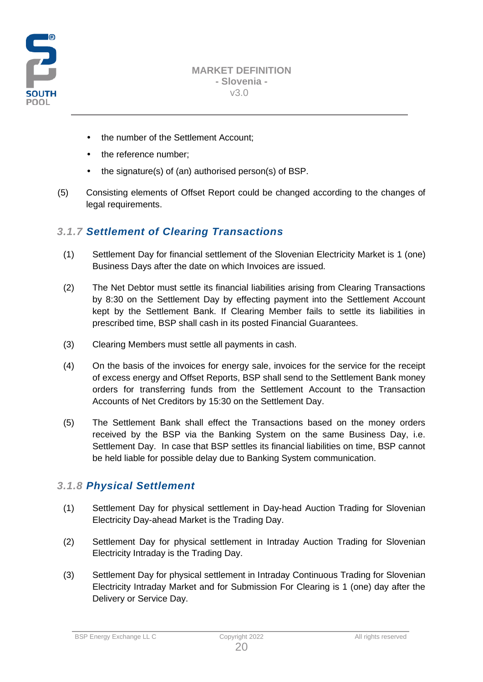

- the number of the Settlement Account;
- the reference number;
- the signature(s) of (an) authorised person(s) of BSP.
- (5) Consisting elements of Offset Report could be changed according to the changes of legal requirements.

# <span id="page-24-0"></span>*3.1.7 Settlement of Clearing Transactions*

- (1) Settlement Day for financial settlement of the Slovenian Electricity Market is 1 (one) Business Days after the date on which Invoices are issued.
- (2) The Net Debtor must settle its financial liabilities arising from Clearing Transactions by 8:30 on the Settlement Day by effecting payment into the Settlement Account kept by the Settlement Bank. If Clearing Member fails to settle its liabilities in prescribed time, BSP shall cash in its posted Financial Guarantees.
- (3) Clearing Members must settle all payments in cash.
- (4) On the basis of the invoices for energy sale, invoices for the service for the receipt of excess energy and Offset Reports, BSP shall send to the Settlement Bank money orders for transferring funds from the Settlement Account to the Transaction Accounts of Net Creditors by 15:30 on the Settlement Day.
- (5) The Settlement Bank shall effect the Transactions based on the money orders received by the BSP via the Banking System on the same Business Day, i.e. Settlement Day. In case that BSP settles its financial liabilities on time, BSP cannot be held liable for possible delay due to Banking System communication.

# <span id="page-24-1"></span>*3.1.8 Physical Settlement*

- (1) Settlement Day for physical settlement in Day-head Auction Trading for Slovenian Electricity Day-ahead Market is the Trading Day.
- (2) Settlement Day for physical settlement in Intraday Auction Trading for Slovenian Electricity Intraday is the Trading Day.
- (3) Settlement Day for physical settlement in Intraday Continuous Trading for Slovenian Electricity Intraday Market and for Submission For Clearing is 1 (one) day after the Delivery or Service Day.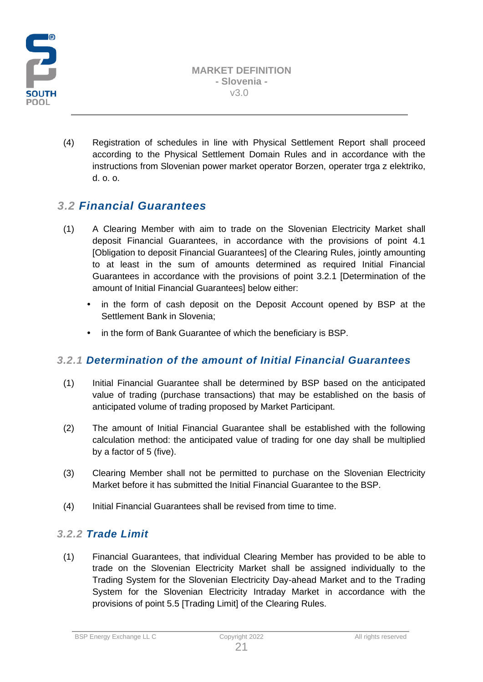

(4) Registration of schedules in line with Physical Settlement Report shall proceed according to the Physical Settlement Domain Rules and in accordance with the instructions from Slovenian power market operator Borzen, operater trga z elektriko, d. o. o.

# <span id="page-25-0"></span>*3.2 Financial Guarantees*

- (1) A Clearing Member with aim to trade on the Slovenian Electricity Market shall deposit Financial Guarantees, in accordance with the provisions of point 4.1 [Obligation to deposit Financial Guarantees] of the Clearing Rules, jointly amounting to at least in the sum of amounts determined as required Initial Financial Guarantees in accordance with the provisions of point [3.2.1](#page-25-1) [\[Determination of the](#page-25-1)  [amount of Initial Financial Guarantees\]](#page-25-1) below either:
	- in the form of cash deposit on the Deposit Account opened by BSP at the Settlement Bank in Slovenia;
	- in the form of Bank Guarantee of which the beneficiary is BSP.

# <span id="page-25-1"></span>*3.2.1 Determination of the amount of Initial Financial Guarantees*

- (1) Initial Financial Guarantee shall be determined by BSP based on the anticipated value of trading (purchase transactions) that may be established on the basis of anticipated volume of trading proposed by Market Participant.
- (2) The amount of Initial Financial Guarantee shall be established with the following calculation method: the anticipated value of trading for one day shall be multiplied by a factor of 5 (five).
- (3) Clearing Member shall not be permitted to purchase on the Slovenian Electricity Market before it has submitted the Initial Financial Guarantee to the BSP.
- <span id="page-25-2"></span>(4) Initial Financial Guarantees shall be revised from time to time.

# *3.2.2 Trade Limit*

(1) Financial Guarantees, that individual Clearing Member has provided to be able to trade on the Slovenian Electricity Market shall be assigned individually to the Trading System for the Slovenian Electricity Day-ahead Market and to the Trading System for the Slovenian Electricity Intraday Market in accordance with the provisions of point 5.5 [Trading Limit] of the Clearing Rules.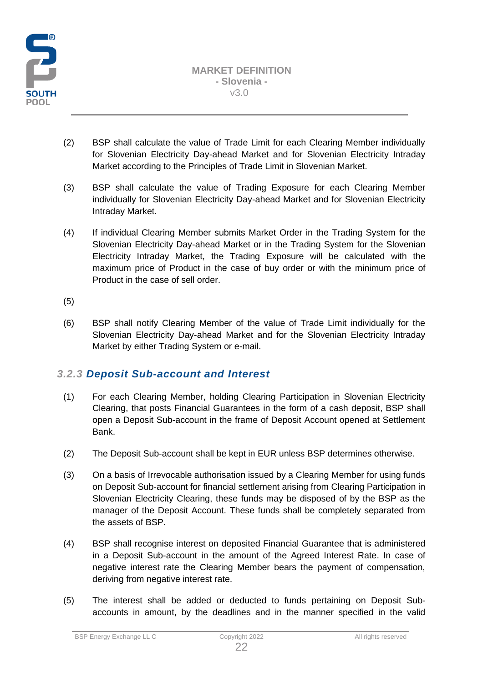

- (2) BSP shall calculate the value of Trade Limit for each Clearing Member individually for Slovenian Electricity Day-ahead Market and for Slovenian Electricity Intraday Market according to the Principles of Trade Limit in Slovenian Market.
- (3) BSP shall calculate the value of Trading Exposure for each Clearing Member individually for Slovenian Electricity Day-ahead Market and for Slovenian Electricity Intraday Market.
- (4) If individual Clearing Member submits Market Order in the Trading System for the Slovenian Electricity Day-ahead Market or in the Trading System for the Slovenian Electricity Intraday Market, the Trading Exposure will be calculated with the maximum price of Product in the case of buy order or with the minimum price of Product in the case of sell order.
- (5)
- (6) BSP shall notify Clearing Member of the value of Trade Limit individually for the Slovenian Electricity Day-ahead Market and for the Slovenian Electricity Intraday Market by either Trading System or e-mail.

# <span id="page-26-0"></span>*3.2.3 Deposit Sub-account and Interest*

- (1) For each Clearing Member, holding Clearing Participation in Slovenian Electricity Clearing, that posts Financial Guarantees in the form of a cash deposit, BSP shall open a Deposit Sub-account in the frame of Deposit Account opened at Settlement Bank.
- (2) The Deposit Sub-account shall be kept in EUR unless BSP determines otherwise.
- (3) On a basis of Irrevocable authorisation issued by a Clearing Member for using funds on Deposit Sub-account for financial settlement arising from Clearing Participation in Slovenian Electricity Clearing, these funds may be disposed of by the BSP as the manager of the Deposit Account. These funds shall be completely separated from the assets of BSP.
- (4) BSP shall recognise interest on deposited Financial Guarantee that is administered in a Deposit Sub-account in the amount of the Agreed Interest Rate. In case of negative interest rate the Clearing Member bears the payment of compensation, deriving from negative interest rate.
- (5) The interest shall be added or deducted to funds pertaining on Deposit Subaccounts in amount, by the deadlines and in the manner specified in the valid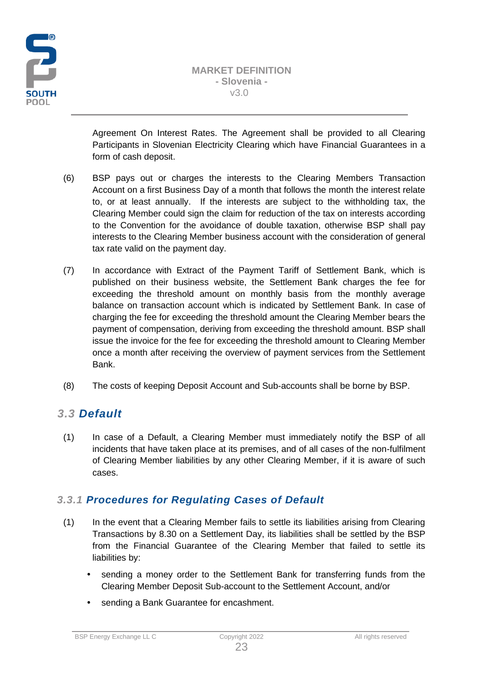

Agreement On Interest Rates. The Agreement shall be provided to all Clearing Participants in Slovenian Electricity Clearing which have Financial Guarantees in a form of cash deposit.

- (6) BSP pays out or charges the interests to the Clearing Members Transaction Account on a first Business Day of a month that follows the month the interest relate to, or at least annually. If the interests are subject to the withholding tax, the Clearing Member could sign the claim for reduction of the tax on interests according to the Convention for the avoidance of double taxation, otherwise BSP shall pay interests to the Clearing Member business account with the consideration of general tax rate valid on the payment day.
- (7) In accordance with Extract of the Payment Tariff of Settlement Bank, which is published on their business website, the Settlement Bank charges the fee for exceeding the threshold amount on monthly basis from the monthly average balance on transaction account which is indicated by Settlement Bank. In case of charging the fee for exceeding the threshold amount the Clearing Member bears the payment of compensation, deriving from exceeding the threshold amount. BSP shall issue the invoice for the fee for exceeding the threshold amount to Clearing Member once a month after receiving the overview of payment services from the Settlement Bank.
- <span id="page-27-0"></span>(8) The costs of keeping Deposit Account and Sub-accounts shall be borne by BSP.

# *3.3 Default*

(1) In case of a Default, a Clearing Member must immediately notify the BSP of all incidents that have taken place at its premises, and of all cases of the non-fulfilment of Clearing Member liabilities by any other Clearing Member, if it is aware of such cases.

# <span id="page-27-1"></span>*3.3.1 Procedures for Regulating Cases of Default*

- (1) In the event that a Clearing Member fails to settle its liabilities arising from Clearing Transactions by 8.30 on a Settlement Day, its liabilities shall be settled by the BSP from the Financial Guarantee of the Clearing Member that failed to settle its liabilities by:
	- sending a money order to the Settlement Bank for transferring funds from the Clearing Member Deposit Sub-account to the Settlement Account, and/or
	- sending a Bank Guarantee for encashment.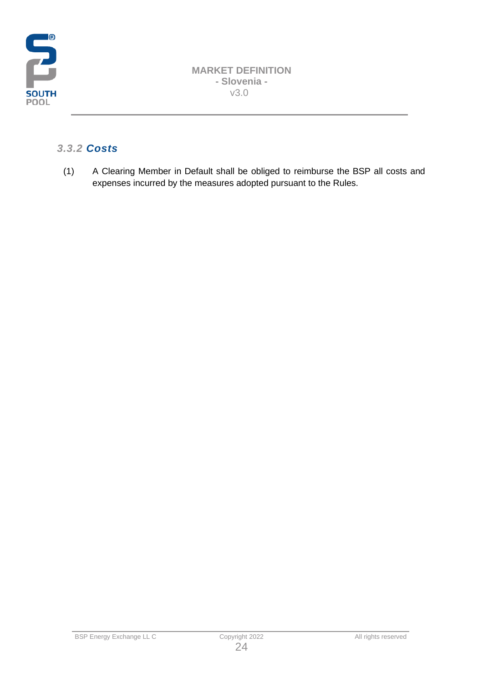

# <span id="page-28-0"></span>*3.3.2 Costs*

(1) A Clearing Member in Default shall be obliged to reimburse the BSP all costs and expenses incurred by the measures adopted pursuant to the Rules.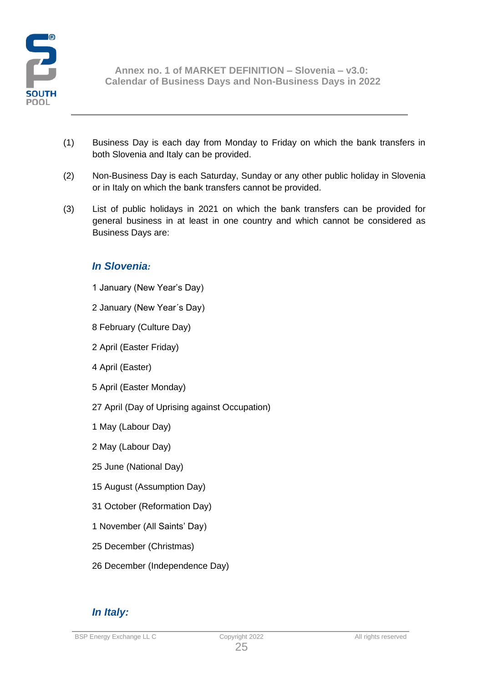

**Annex no. 1 of MARKET DEFINITION – Slovenia – v3.0: Calendar of Business Days and Non-Business Days in 2022**

- (1) Business Day is each day from Monday to Friday on which the bank transfers in both Slovenia and Italy can be provided.
- (2) Non-Business Day is each Saturday, Sunday or any other public holiday in Slovenia or in Italy on which the bank transfers cannot be provided.
- (3) List of public holidays in 2021 on which the bank transfers can be provided for general business in at least in one country and which cannot be considered as Business Days are:

#### *In Slovenia:*

- 1 January (New Year's Day)
- 2 January (New Year´s Day)
- 8 February (Culture Day)
- 2 April (Easter Friday)
- 4 April (Easter)
- 5 April (Easter Monday)
- 27 April (Day of Uprising against Occupation)
- 1 May (Labour Day)
- 2 May (Labour Day)
- 25 June (National Day)
- 15 August (Assumption Day)
- 31 October (Reformation Day)
- 1 November (All Saints' Day)
- 25 December (Christmas)
- 26 December (Independence Day)

# *In Italy:*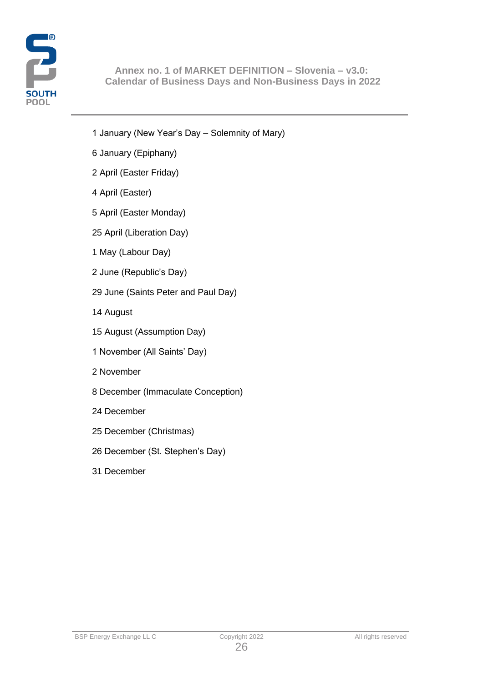

- 1 January (New Year's Day Solemnity of Mary)
- 6 January (Epiphany)
- 2 April (Easter Friday)
- 4 April (Easter)
- 5 April (Easter Monday)
- 25 April (Liberation Day)
- 1 May (Labour Day)
- 2 June (Republic's Day)
- 29 June (Saints Peter and Paul Day)
- 14 August
- 15 August (Assumption Day)
- 1 November (All Saints' Day)
- 2 November
- 8 December (Immaculate Conception)
- 24 December
- 25 December (Christmas)
- 26 December (St. Stephen's Day)
- 31 December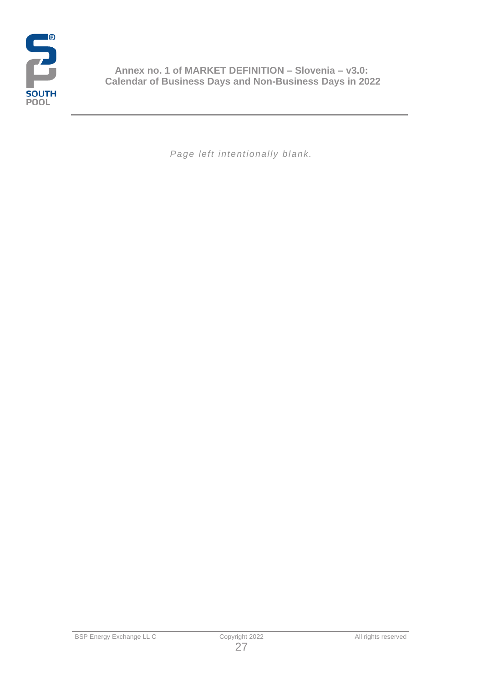

**Annex no. 1 of MARKET DEFINITION – Slovenia – v3.0: Calendar of Business Days and Non-Business Days in 2022**

*Page left intentionally blank.*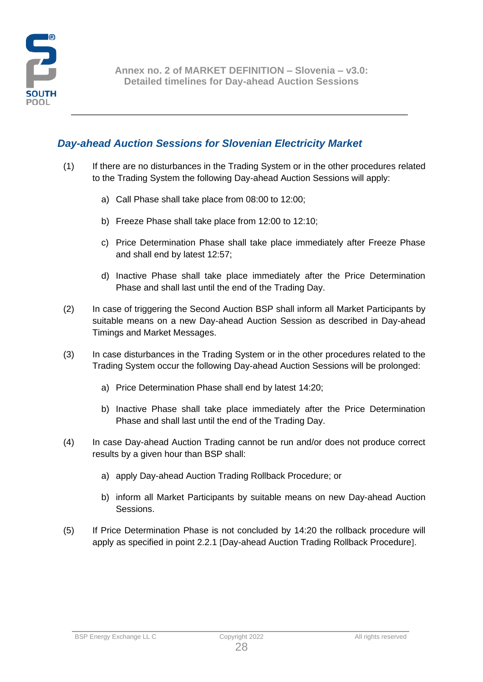

# *Day-ahead Auction Sessions for Slovenian Electricity Market*

- (1) If there are no disturbances in the Trading System or in the other procedures related to the Trading System the following Day-ahead Auction Sessions will apply:
	- a) Call Phase shall take place from 08:00 to 12:00;
	- b) Freeze Phase shall take place from 12:00 to 12:10;
	- c) Price Determination Phase shall take place immediately after Freeze Phase and shall end by latest 12:57;
	- d) Inactive Phase shall take place immediately after the Price Determination Phase and shall last until the end of the Trading Day.
- (2) In case of triggering the Second Auction BSP shall inform all Market Participants by suitable means on a new Day-ahead Auction Session as described in Day-ahead Timings and Market Messages.
- (3) In case disturbances in the Trading System or in the other procedures related to the Trading System occur the following Day-ahead Auction Sessions will be prolonged:
	- a) Price Determination Phase shall end by latest 14:20;
	- b) Inactive Phase shall take place immediately after the Price Determination Phase and shall last until the end of the Trading Day.
- (4) In case Day-ahead Auction Trading cannot be run and/or does not produce correct results by a given hour than BSP shall:
	- a) apply Day-ahead Auction Trading Rollback Procedure; or
	- b) inform all Market Participants by suitable means on new Day-ahead Auction Sessions.
- (5) If Price Determination Phase is not concluded by 14:20 the rollback procedure will apply as specified in point [2.2.1](#page-16-1) [[Day-ahead Auction Trading Rollback Procedure](#page-16-1)].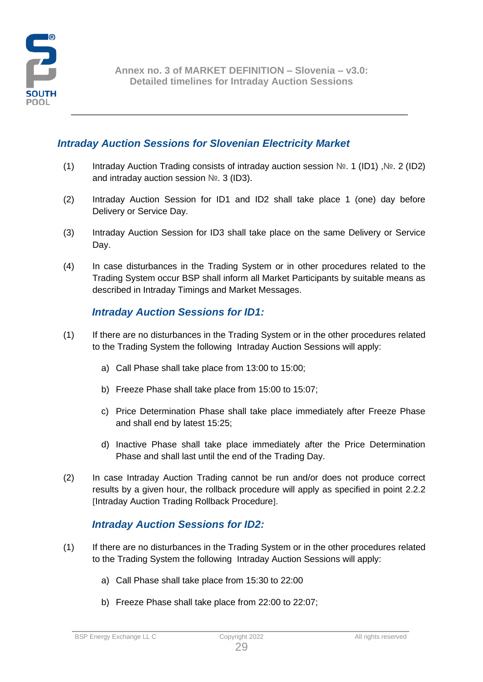

# *Intraday Auction Sessions for Slovenian Electricity Market*

- (1) Intraday Auction Trading consists of intraday auction session №. 1 (ID1) ,№. 2 (ID2) and intraday auction session №. 3 (ID3).
- (2) Intraday Auction Session for ID1 and ID2 shall take place 1 (one) day before Delivery or Service Day.
- (3) Intraday Auction Session for ID3 shall take place on the same Delivery or Service Day.
- (4) In case disturbances in the Trading System or in other procedures related to the Trading System occur BSP shall inform all Market Participants by suitable means as described in Intraday Timings and Market Messages.

# *Intraday Auction Sessions for ID1:*

- (1) If there are no disturbances in the Trading System or in the other procedures related to the Trading System the following Intraday Auction Sessions will apply:
	- a) Call Phase shall take place from 13:00 to 15:00;
	- b) Freeze Phase shall take place from 15:00 to 15:07;
	- c) Price Determination Phase shall take place immediately after Freeze Phase and shall end by latest 15:25;
	- d) Inactive Phase shall take place immediately after the Price Determination Phase and shall last until the end of the Trading Day.
- (2) In case Intraday Auction Trading cannot be run and/or does not produce correct results by a given hour, the rollback procedure will apply as specified in point [2.2.2](#page-17-0) [[Intraday Auction Trading Rollback Procedure](#page-17-0)].

# *Intraday Auction Sessions for ID2:*

- (1) If there are no disturbances in the Trading System or in the other procedures related to the Trading System the following Intraday Auction Sessions will apply:
	- a) Call Phase shall take place from 15:30 to 22:00
	- b) Freeze Phase shall take place from 22:00 to 22:07;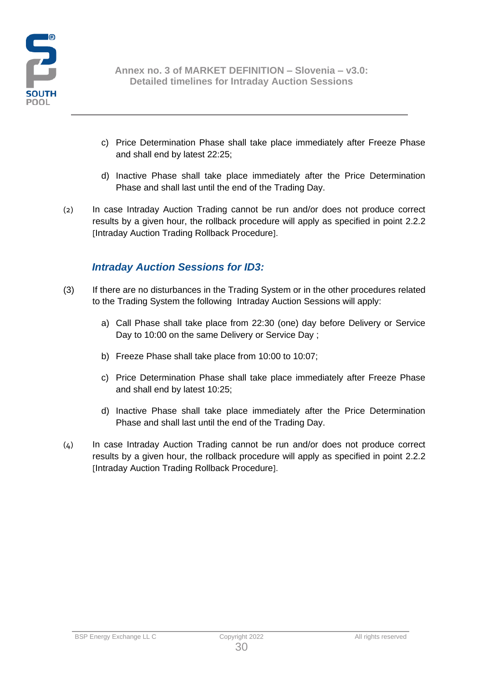

- c) Price Determination Phase shall take place immediately after Freeze Phase and shall end by latest 22:25;
- d) Inactive Phase shall take place immediately after the Price Determination Phase and shall last until the end of the Trading Day.
- (2) In case Intraday Auction Trading cannot be run and/or does not produce correct results by a given hour, the rollback procedure will apply as specified in point [2.2.2](#page-17-0) [[Intraday Auction Trading Rollback Procedure](#page-17-0)].

# *Intraday Auction Sessions for ID3:*

- (3) If there are no disturbances in the Trading System or in the other procedures related to the Trading System the following Intraday Auction Sessions will apply:
	- a) Call Phase shall take place from 22:30 (one) day before Delivery or Service Day to 10:00 on the same Delivery or Service Day ;
	- b) Freeze Phase shall take place from 10:00 to 10:07;
	- c) Price Determination Phase shall take place immediately after Freeze Phase and shall end by latest 10:25;
	- d) Inactive Phase shall take place immediately after the Price Determination Phase and shall last until the end of the Trading Day.
- (4) In case Intraday Auction Trading cannot be run and/or does not produce correct results by a given hour, the rollback procedure will apply as specified in point [2.2.2](#page-17-0) [[Intraday Auction Trading Rollback Procedure](#page-17-0)].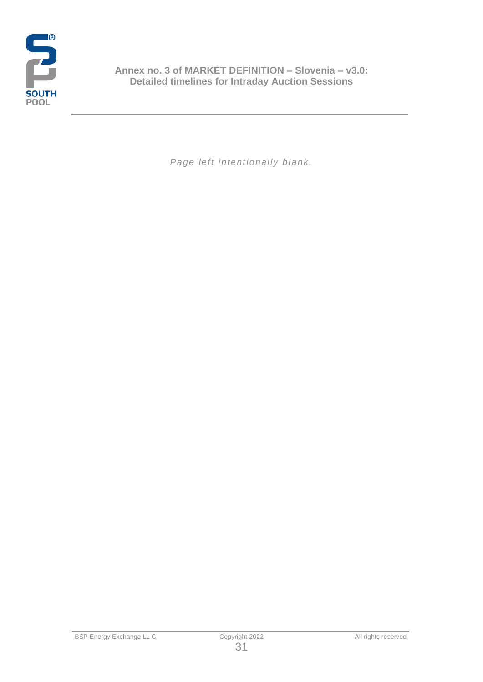

**Annex no. 3 of MARKET DEFINITION – Slovenia – v3.0: Detailed timelines for Intraday Auction Sessions**

*Page left intentionally blank.*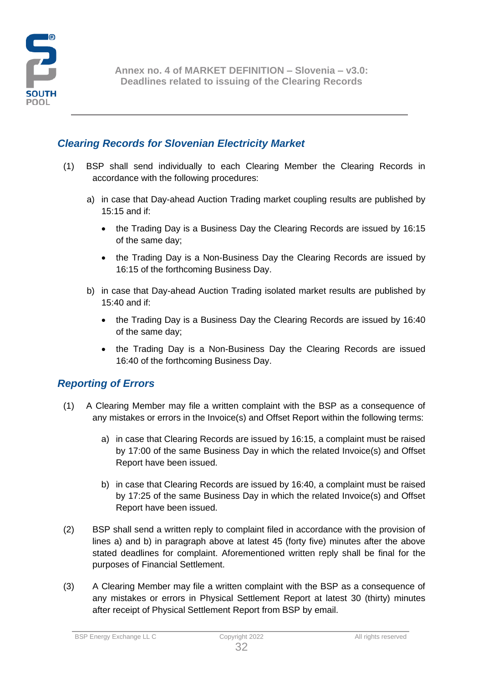

# *Clearing Records for Slovenian Electricity Market*

- (1) BSP shall send individually to each Clearing Member the Clearing Records in accordance with the following procedures:
	- a) in case that Day-ahead Auction Trading market coupling results are published by 15:15 and if:
		- the Trading Day is a Business Day the Clearing Records are issued by 16:15 of the same day;
		- the Trading Day is a Non-Business Day the Clearing Records are issued by 16:15 of the forthcoming Business Day.
	- b) in case that Day-ahead Auction Trading isolated market results are published by 15:40 and if:
		- the Trading Day is a Business Day the Clearing Records are issued by 16:40 of the same day;
		- the Trading Day is a Non-Business Day the Clearing Records are issued 16:40 of the forthcoming Business Day.

# *Reporting of Errors*

- (1) A Clearing Member may file a written complaint with the BSP as a consequence of any mistakes or errors in the Invoice(s) and Offset Report within the following terms:
	- a) in case that Clearing Records are issued by 16:15, a complaint must be raised by 17:00 of the same Business Day in which the related Invoice(s) and Offset Report have been issued.
	- b) in case that Clearing Records are issued by 16:40, a complaint must be raised by 17:25 of the same Business Day in which the related Invoice(s) and Offset Report have been issued.
- (2) BSP shall send a written reply to complaint filed in accordance with the provision of lines a) and b) in paragraph above at latest 45 (forty five) minutes after the above stated deadlines for complaint. Aforementioned written reply shall be final for the purposes of Financial Settlement.
- (3) A Clearing Member may file a written complaint with the BSP as a consequence of any mistakes or errors in Physical Settlement Report at latest 30 (thirty) minutes after receipt of Physical Settlement Report from BSP by email.